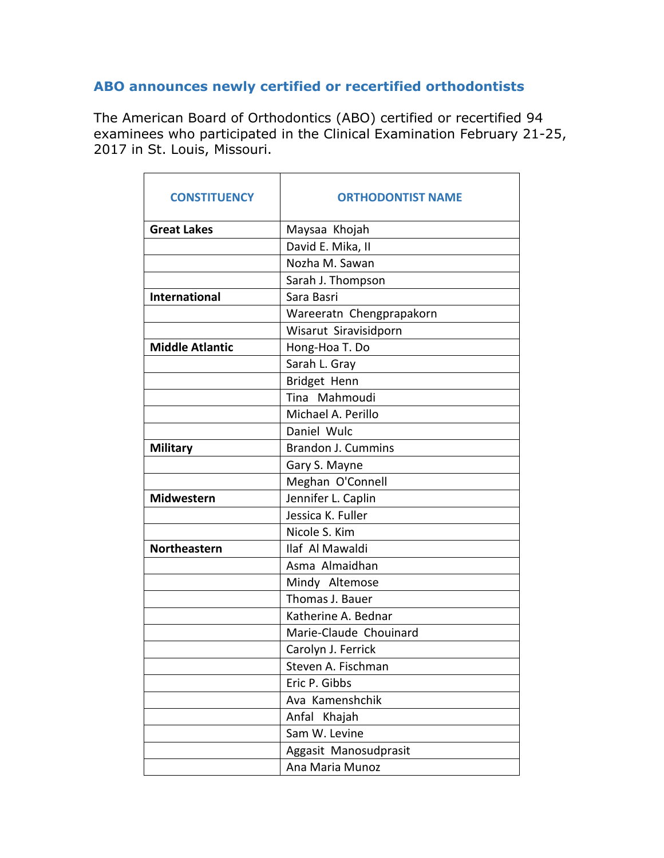## **ABO announces newly certified or recertified orthodontists**

The American Board of Orthodontics (ABO) certified or recertified 94 examinees who participated in the Clinical Examination February 21-25, 2017 in St. Louis, Missouri.

| <b>CONSTITUENCY</b>    | <b>ORTHODONTIST NAME</b>  |
|------------------------|---------------------------|
| <b>Great Lakes</b>     | Maysaa Khojah             |
|                        | David E. Mika, II         |
|                        | Nozha M. Sawan            |
|                        | Sarah J. Thompson         |
| <b>International</b>   | Sara Basri                |
|                        | Wareeratn Chengprapakorn  |
|                        | Wisarut Siravisidporn     |
| <b>Middle Atlantic</b> | Hong-Hoa T. Do            |
|                        | Sarah L. Gray             |
|                        | Bridget Henn              |
|                        | Tina Mahmoudi             |
|                        | Michael A. Perillo        |
|                        | Daniel Wulc               |
| <b>Military</b>        | <b>Brandon J. Cummins</b> |
|                        | Gary S. Mayne             |
|                        | Meghan O'Connell          |
| <b>Midwestern</b>      | Jennifer L. Caplin        |
|                        | Jessica K. Fuller         |
|                        | Nicole S. Kim             |
| <b>Northeastern</b>    | Ilaf Al Mawaldi           |
|                        | Asma Almaidhan            |
|                        | Mindy Altemose            |
|                        | Thomas J. Bauer           |
|                        | Katherine A. Bednar       |
|                        | Marie-Claude Chouinard    |
|                        | Carolyn J. Ferrick        |
|                        | Steven A. Fischman        |
|                        | Eric P. Gibbs             |
|                        | Ava Kamenshchik           |
|                        | Anfal Khajah              |
|                        | Sam W. Levine             |
|                        | Aggasit Manosudprasit     |
|                        | Ana Maria Munoz           |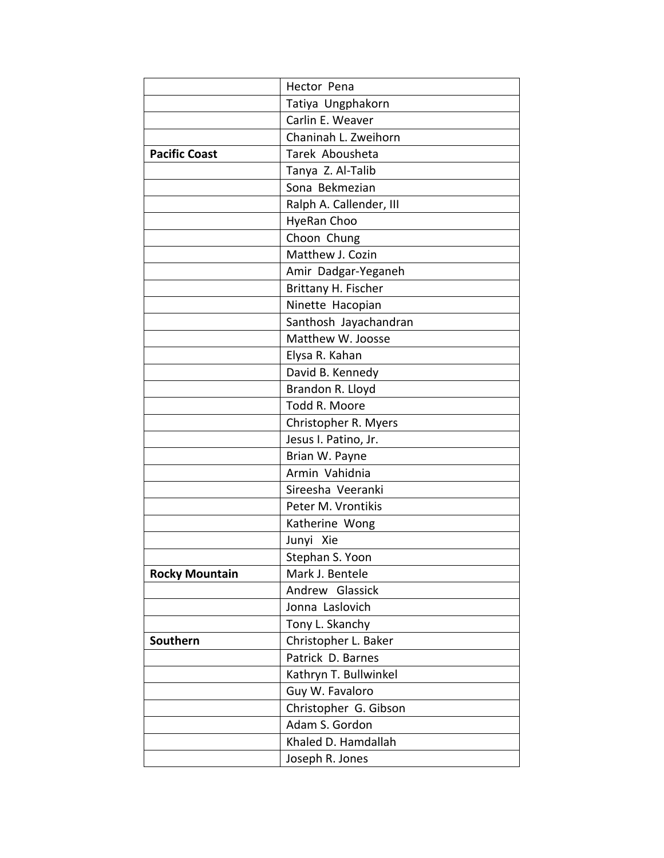|                       | Hector Pena             |
|-----------------------|-------------------------|
|                       | Tatiya Ungphakorn       |
|                       | Carlin E. Weaver        |
|                       | Chaninah L. Zweihorn    |
| <b>Pacific Coast</b>  | Tarek Abousheta         |
|                       | Tanya Z. Al-Talib       |
|                       | Sona Bekmezian          |
|                       | Ralph A. Callender, III |
|                       | HyeRan Choo             |
|                       | Choon Chung             |
|                       | Matthew J. Cozin        |
|                       | Amir Dadgar-Yeganeh     |
|                       | Brittany H. Fischer     |
|                       | Ninette Hacopian        |
|                       | Santhosh Jayachandran   |
|                       | Matthew W. Joosse       |
|                       | Elysa R. Kahan          |
|                       | David B. Kennedy        |
|                       | Brandon R. Lloyd        |
|                       | Todd R. Moore           |
|                       | Christopher R. Myers    |
|                       | Jesus I. Patino, Jr.    |
|                       | Brian W. Payne          |
|                       | Armin Vahidnia          |
|                       | Sireesha Veeranki       |
|                       | Peter M. Vrontikis      |
|                       | Katherine Wong          |
|                       | Junyi Xie               |
|                       | Stephan S. Yoon         |
| <b>Rocky Mountain</b> | Mark J. Bentele         |
|                       | Andrew Glassick         |
|                       | Jonna Laslovich         |
|                       | Tony L. Skanchy         |
| Southern              | Christopher L. Baker    |
|                       | Patrick D. Barnes       |
|                       | Kathryn T. Bullwinkel   |
|                       | Guy W. Favaloro         |
|                       | Christopher G. Gibson   |
|                       | Adam S. Gordon          |
|                       | Khaled D. Hamdallah     |
|                       | Joseph R. Jones         |